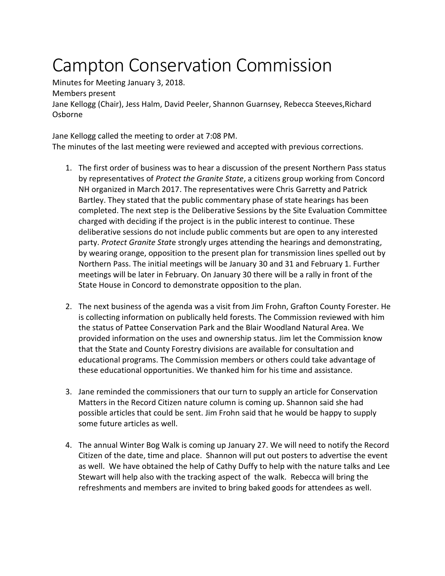## Campton Conservation Commission

Minutes for Meeting January 3, 2018. Members present Jane Kellogg (Chair), Jess Halm, David Peeler, Shannon Guarnsey, Rebecca Steeves,Richard Osborne

Jane Kellogg called the meeting to order at 7:08 PM.

The minutes of the last meeting were reviewed and accepted with previous corrections.

- 1. The first order of business was to hear a discussion of the present Northern Pass status by representatives of *Protect the Granite State*, a citizens group working from Concord NH organized in March 2017. The representatives were Chris Garretty and Patrick Bartley. They stated that the public commentary phase of state hearings has been completed. The next step is the Deliberative Sessions by the Site Evaluation Committee charged with deciding if the project is in the public interest to continue. These deliberative sessions do not include public comments but are open to any interested party. *Protect Granite Stat*e strongly urges attending the hearings and demonstrating, by wearing orange, opposition to the present plan for transmission lines spelled out by Northern Pass. The initial meetings will be January 30 and 31 and February 1. Further meetings will be later in February. On January 30 there will be a rally in front of the State House in Concord to demonstrate opposition to the plan.
- 2. The next business of the agenda was a visit from Jim Frohn, Grafton County Forester. He is collecting information on publically held forests. The Commission reviewed with him the status of Pattee Conservation Park and the Blair Woodland Natural Area. We provided information on the uses and ownership status. Jim let the Commission know that the State and County Forestry divisions are available for consultation and educational programs. The Commission members or others could take advantage of these educational opportunities. We thanked him for his time and assistance.
- 3. Jane reminded the commissioners that our turn to supply an article for Conservation Matters in the Record Citizen nature column is coming up. Shannon said she had possible articles that could be sent. Jim Frohn said that he would be happy to supply some future articles as well.
- 4. The annual Winter Bog Walk is coming up January 27. We will need to notify the Record Citizen of the date, time and place. Shannon will put out posters to advertise the event as well. We have obtained the help of Cathy Duffy to help with the nature talks and Lee Stewart will help also with the tracking aspect of the walk. Rebecca will bring the refreshments and members are invited to bring baked goods for attendees as well.